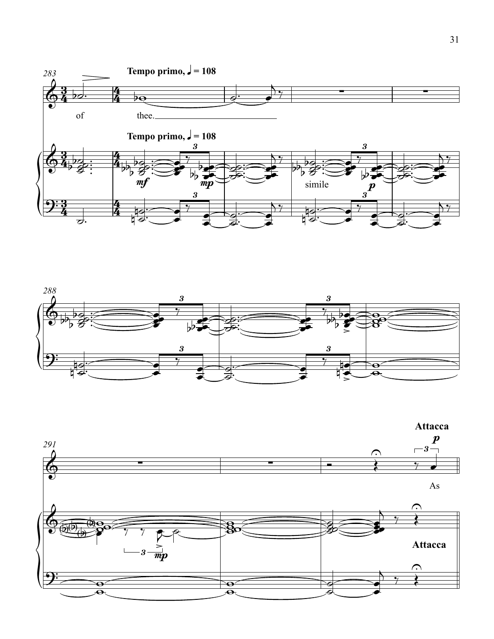



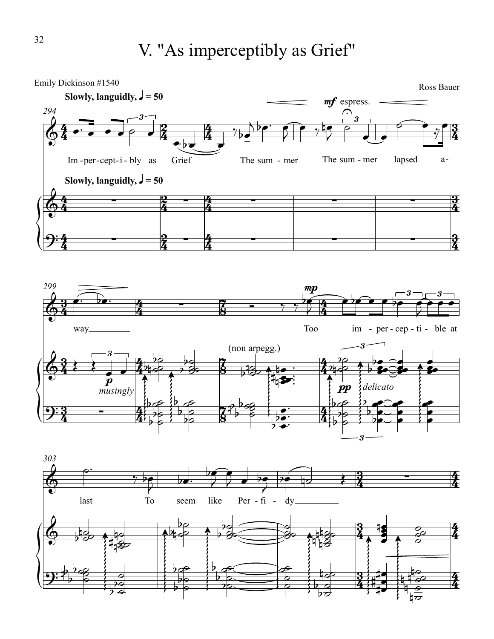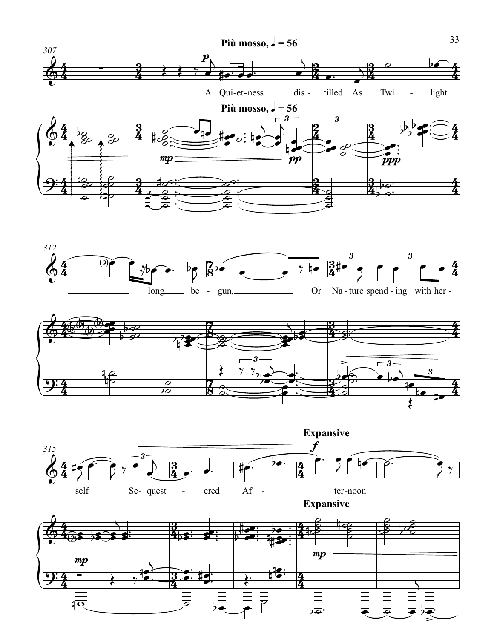



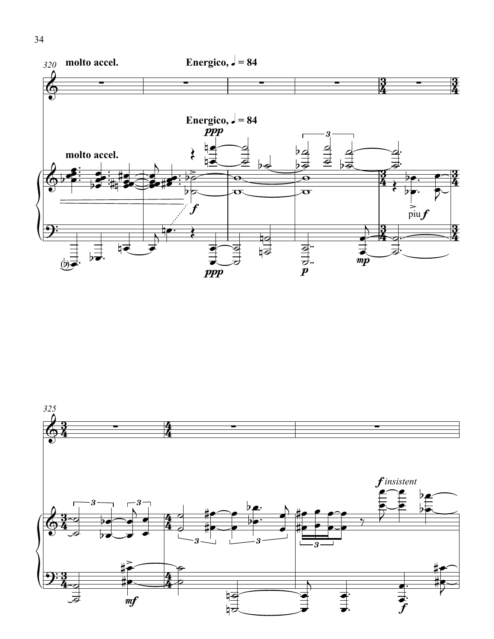

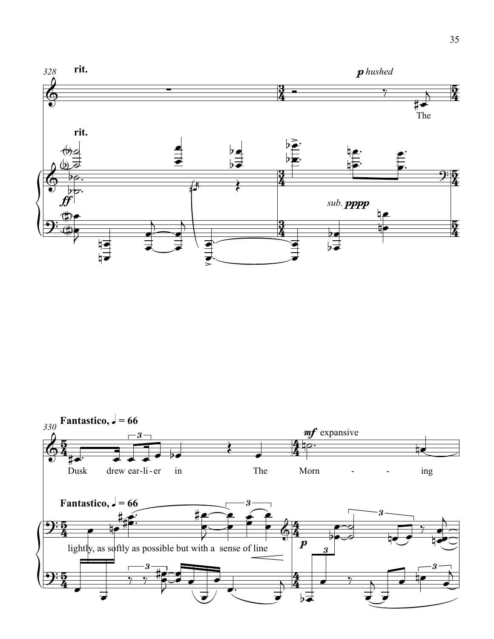

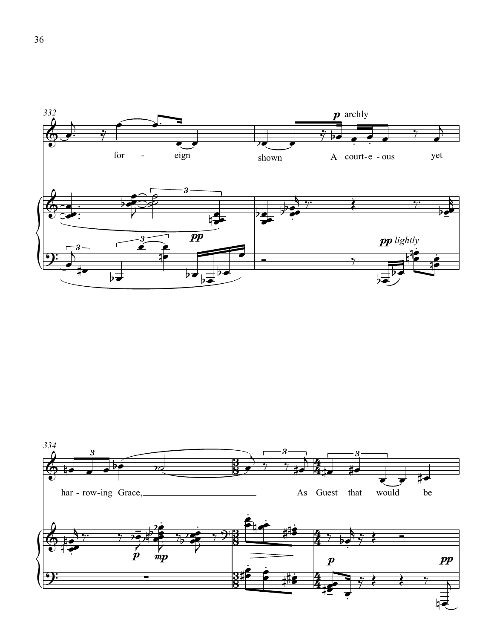

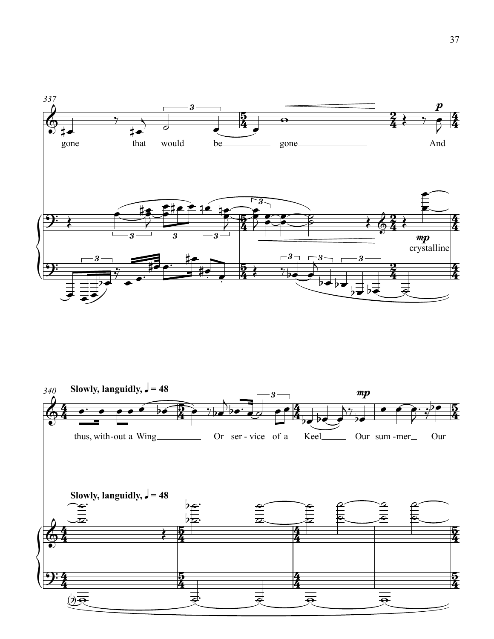